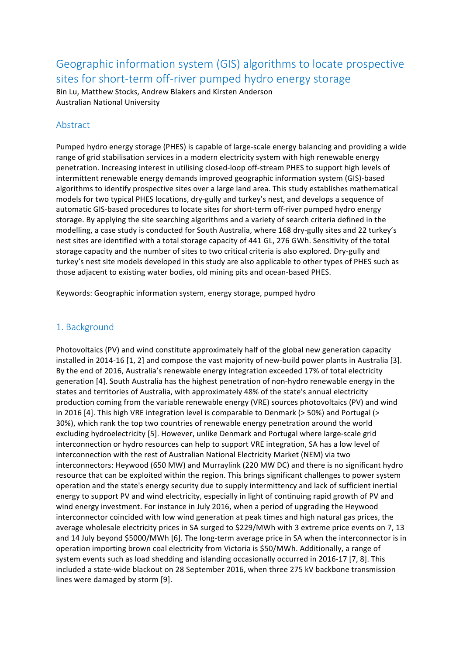Geographic information system (GIS) algorithms to locate prospective sites for short-term off-river pumped hydro energy storage

Bin Lu, Matthew Stocks, Andrew Blakers and Kirsten Anderson Australian National University

## Abstract

Pumped hydro energy storage (PHES) is capable of large-scale energy balancing and providing a wide range of grid stabilisation services in a modern electricity system with high renewable energy penetration. Increasing interest in utilising closed-loop off-stream PHES to support high levels of intermittent renewable energy demands improved geographic information system (GIS)-based algorithms to identify prospective sites over a large land area. This study establishes mathematical models for two typical PHES locations, dry-gully and turkey's nest, and develops a sequence of automatic GIS-based procedures to locate sites for short-term off-river pumped hydro energy storage. By applying the site searching algorithms and a variety of search criteria defined in the modelling, a case study is conducted for South Australia, where 168 dry-gully sites and 22 turkey's nest sites are identified with a total storage capacity of 441 GL, 276 GWh. Sensitivity of the total storage capacity and the number of sites to two critical criteria is also explored. Dry-gully and turkey's nest site models developed in this study are also applicable to other types of PHES such as those adjacent to existing water bodies, old mining pits and ocean-based PHES.

Keywords: Geographic information system, energy storage, pumped hydro

## 1. Background

Photovoltaics (PV) and wind constitute approximately half of the global new generation capacity installed in 2014-16 [1, 2] and compose the vast majority of new-build power plants in Australia [3]. By the end of 2016, Australia's renewable energy integration exceeded 17% of total electricity generation [4]. South Australia has the highest penetration of non-hydro renewable energy in the states and territories of Australia, with approximately 48% of the state's annual electricity production coming from the variable renewable energy (VRE) sources photovoltaics (PV) and wind in 2016 [4]. This high VRE integration level is comparable to Denmark (> 50%) and Portugal (> 30%), which rank the top two countries of renewable energy penetration around the world excluding hydroelectricity [5]. However, unlike Denmark and Portugal where large-scale grid interconnection or hydro resources can help to support VRE integration, SA has a low level of interconnection with the rest of Australian National Electricity Market (NEM) via two interconnectors: Heywood (650 MW) and Murraylink (220 MW DC) and there is no significant hydro resource that can be exploited within the region. This brings significant challenges to power system operation and the state's energy security due to supply intermittency and lack of sufficient inertial energy to support PV and wind electricity, especially in light of continuing rapid growth of PV and wind energy investment. For instance in July 2016, when a period of upgrading the Heywood interconnector coincided with low wind generation at peak times and high natural gas prices, the average wholesale electricity prices in SA surged to \$229/MWh with 3 extreme price events on 7, 13 and 14 July beyond \$5000/MWh [6]. The long-term average price in SA when the interconnector is in operation importing brown coal electricity from Victoria is \$50/MWh. Additionally, a range of system events such as load shedding and islanding occasionally occurred in 2016-17 [7, 8]. This included a state-wide blackout on 28 September 2016, when three 275 kV backbone transmission lines were damaged by storm [9].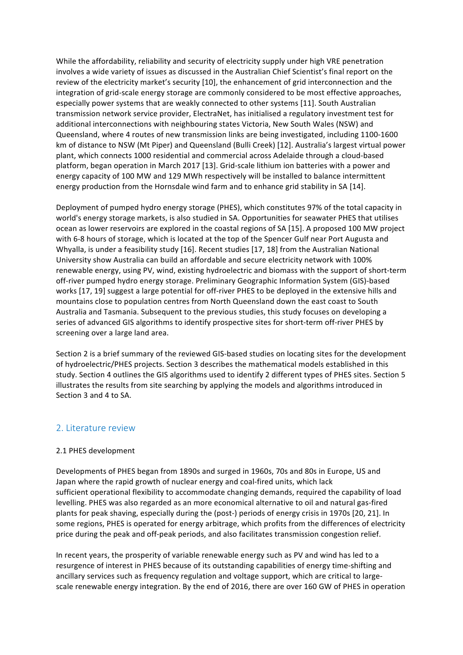While the affordability, reliability and security of electricity supply under high VRE penetration involves a wide variety of issues as discussed in the Australian Chief Scientist's final report on the review of the electricity market's security [10], the enhancement of grid interconnection and the integration of grid-scale energy storage are commonly considered to be most effective approaches, especially power systems that are weakly connected to other systems [11]. South Australian transmission network service provider, ElectraNet, has initialised a regulatory investment test for additional interconnections with neighbouring states Victoria, New South Wales (NSW) and Queensland, where 4 routes of new transmission links are being investigated, including 1100-1600 km of distance to NSW (Mt Piper) and Queensland (Bulli Creek) [12]. Australia's largest virtual power plant, which connects 1000 residential and commercial across Adelaide through a cloud-based platform, began operation in March 2017 [13]. Grid-scale lithium ion batteries with a power and energy capacity of 100 MW and 129 MWh respectively will be installed to balance intermittent energy production from the Hornsdale wind farm and to enhance grid stability in SA [14].

Deployment of pumped hydro energy storage (PHES), which constitutes 97% of the total capacity in world's energy storage markets, is also studied in SA. Opportunities for seawater PHES that utilises ocean as lower reservoirs are explored in the coastal regions of SA [15]. A proposed 100 MW project with 6-8 hours of storage, which is located at the top of the Spencer Gulf near Port Augusta and Whyalla, is under a feasibility study [16]. Recent studies [17, 18] from the Australian National University show Australia can build an affordable and secure electricity network with 100% renewable energy, using PV, wind, existing hydroelectric and biomass with the support of short-term off-river pumped hydro energy storage. Preliminary Geographic Information System (GIS)-based works [17, 19] suggest a large potential for off-river PHES to be deployed in the extensive hills and mountains close to population centres from North Queensland down the east coast to South Australia and Tasmania. Subsequent to the previous studies, this study focuses on developing a series of advanced GIS algorithms to identify prospective sites for short-term off-river PHES by screening over a large land area.

Section 2 is a brief summary of the reviewed GIS-based studies on locating sites for the development of hydroelectric/PHES projects. Section 3 describes the mathematical models established in this study. Section 4 outlines the GIS algorithms used to identify 2 different types of PHES sites. Section 5 illustrates the results from site searching by applying the models and algorithms introduced in Section 3 and 4 to SA.

## 2. Literature review

### 2.1 PHES development

Developments of PHES began from 1890s and surged in 1960s, 70s and 80s in Europe, US and Japan where the rapid growth of nuclear energy and coal-fired units, which lack sufficient operational flexibility to accommodate changing demands, required the capability of load levelling. PHES was also regarded as an more economical alternative to oil and natural gas-fired plants for peak shaving, especially during the (post-) periods of energy crisis in 1970s [20, 21]. In some regions, PHES is operated for energy arbitrage, which profits from the differences of electricity price during the peak and off-peak periods, and also facilitates transmission congestion relief.

In recent years, the prosperity of variable renewable energy such as PV and wind has led to a resurgence of interest in PHES because of its outstanding capabilities of energy time-shifting and ancillary services such as frequency regulation and voltage support, which are critical to largescale renewable energy integration. By the end of 2016, there are over 160 GW of PHES in operation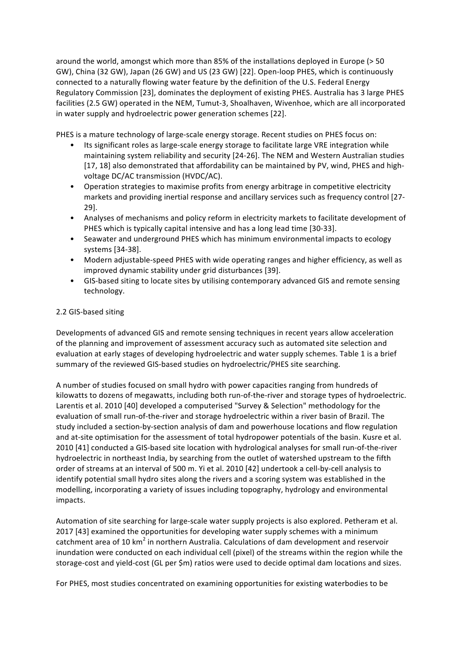around the world, amongst which more than 85% of the installations deployed in Europe (> 50 GW), China (32 GW), Japan (26 GW) and US (23 GW) [22]. Open-loop PHES, which is continuously connected to a naturally flowing water feature by the definition of the U.S. Federal Energy Regulatory Commission [23], dominates the deployment of existing PHES. Australia has 3 large PHES facilities (2.5 GW) operated in the NEM, Tumut-3, Shoalhaven, Wivenhoe, which are all incorporated in water supply and hydroelectric power generation schemes [22].

PHES is a mature technology of large-scale energy storage. Recent studies on PHES focus on:

- Its significant roles as large-scale energy storage to facilitate large VRE integration while maintaining system reliability and security [24-26]. The NEM and Western Australian studies [17, 18] also demonstrated that affordability can be maintained by PV, wind, PHES and highvoltage DC/AC transmission (HVDC/AC).
- Operation strategies to maximise profits from energy arbitrage in competitive electricity markets and providing inertial response and ancillary services such as frequency control [27-29].
- Analyses of mechanisms and policy reform in electricity markets to facilitate development of PHES which is typically capital intensive and has a long lead time [30-33].
- Seawater and underground PHES which has minimum environmental impacts to ecology systems [34-38].
- Modern adjustable-speed PHES with wide operating ranges and higher efficiency, as well as improved dynamic stability under grid disturbances [39].
- GIS-based siting to locate sites by utilising contemporary advanced GIS and remote sensing technology.

## 2.2 GIS-based siting

Developments of advanced GIS and remote sensing techniques in recent years allow acceleration of the planning and improvement of assessment accuracy such as automated site selection and evaluation at early stages of developing hydroelectric and water supply schemes. Table 1 is a brief summary of the reviewed GIS-based studies on hydroelectric/PHES site searching.

A number of studies focused on small hydro with power capacities ranging from hundreds of kilowatts to dozens of megawatts, including both run-of-the-river and storage types of hydroelectric. Larentis et al. 2010 [40] developed a computerised "Survey & Selection" methodology for the evaluation of small run-of-the-river and storage hydroelectric within a river basin of Brazil. The study included a section-by-section analysis of dam and powerhouse locations and flow regulation and at-site optimisation for the assessment of total hydropower potentials of the basin. Kusre et al. 2010 [41] conducted a GIS-based site location with hydrological analyses for small run-of-the-river hydroelectric in northeast India, by searching from the outlet of watershed upstream to the fifth order of streams at an interval of 500 m. Yi et al. 2010 [42] undertook a cell-by-cell analysis to identify potential small hydro sites along the rivers and a scoring system was established in the modelling, incorporating a variety of issues including topography, hydrology and environmental impacts.

Automation of site searching for large-scale water supply projects is also explored. Petheram et al. 2017 [43] examined the opportunities for developing water supply schemes with a minimum catchment area of 10  $km^2$  in northern Australia. Calculations of dam development and reservoir inundation were conducted on each individual cell (pixel) of the streams within the region while the storage-cost and yield-cost (GL per \$m) ratios were used to decide optimal dam locations and sizes.

For PHES, most studies concentrated on examining opportunities for existing waterbodies to be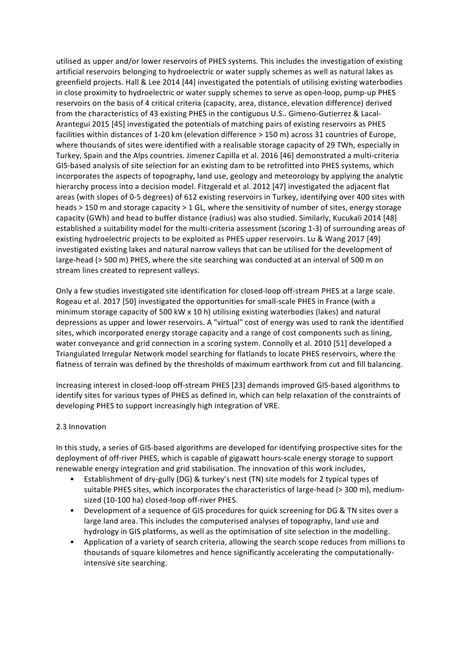utilised as upper and/or lower reservoirs of PHES systems. This includes the investigation of existing artificial reservoirs belonging to hydroelectric or water supply schemes as well as natural lakes as greenfield projects. Hall & Lee 2014 [44] investigated the potentials of utilising existing waterbodies in close proximity to hydroelectric or water supply schemes to serve as open-loop, pump-up PHES reservoirs on the basis of 4 critical criteria (capacity, area, distance, elevation difference) derived from the characteristics of 43 existing PHES in the contiguous U.S.. Gimeno-Gutierrez & Lacal-Arantegui 2015 [45] investigated the potentials of matching pairs of existing reservoirs as PHES facilities within distances of 1-20 km (elevation difference > 150 m) across 31 countries of Europe, where thousands of sites were identified with a realisable storage capacity of 29 TWh, especially in Turkey, Spain and the Alps countries. Jimenez Capilla et al. 2016 [46] demonstrated a multi-criteria GIS-based analysis of site selection for an existing dam to be retrofitted into PHES systems, which incorporates the aspects of topography, land use, geology and meteorology by applying the analytic hierarchy process into a decision model. Fitzgerald et al. 2012 [47] investigated the adjacent flat areas (with slopes of 0-5 degrees) of 612 existing reservoirs in Turkey, identifying over 400 sites with heads > 150 m and storage capacity > 1 GL, where the sensitivity of number of sites, energy storage capacity (GWh) and head to buffer distance (radius) was also studied. Similarly, Kucukali 2014 [48] established a suitability model for the multi-criteria assessment (scoring 1-3) of surrounding areas of existing hydroelectric projects to be exploited as PHES upper reservoirs. Lu & Wang 2017 [49] investigated existing lakes and natural narrow valleys that can be utilised for the development of large-head (> 500 m) PHES, where the site searching was conducted at an interval of 500 m on stream lines created to represent valleys.

Only a few studies investigated site identification for closed-loop off-stream PHES at a large scale. Rogeau et al. 2017 [50] investigated the opportunities for small-scale PHES in France (with a minimum storage capacity of 500 kW x 10 h) utilising existing waterbodies (lakes) and natural depressions as upper and lower reservoirs. A "virtual" cost of energy was used to rank the identified sites, which incorporated energy storage capacity and a range of cost components such as lining, water conveyance and grid connection in a scoring system. Connolly et al. 2010 [51] developed a Triangulated Irregular Network model searching for flatlands to locate PHES reservoirs, where the flatness of terrain was defined by the thresholds of maximum earthwork from cut and fill balancing.

Increasing interest in closed-loop off-stream PHES [23] demands improved GIS-based algorithms to identify sites for various types of PHES as defined in, which can help relaxation of the constraints of developing PHES to support increasingly high integration of VRE.

### 2.3 Innovation

In this study, a series of GIS-based algorithms are developed for identifying prospective sites for the deployment of off-river PHES, which is capable of gigawatt hours-scale energy storage to support renewable energy integration and grid stabilisation. The innovation of this work includes,

- Establishment of dry-gully (DG) & turkey's nest (TN) site models for 2 typical types of suitable PHES sites, which incorporates the characteristics of large-head (> 300 m), mediumsized (10-100 ha) closed-loop off-river PHES.
- Development of a sequence of GIS procedures for quick screening for DG & TN sites over a large land area. This includes the computerised analyses of topography, land use and hydrology in GIS platforms, as well as the optimisation of site selection in the modelling.
- Application of a variety of search criteria, allowing the search scope reduces from millions to thousands of square kilometres and hence significantly accelerating the computationallyintensive site searching.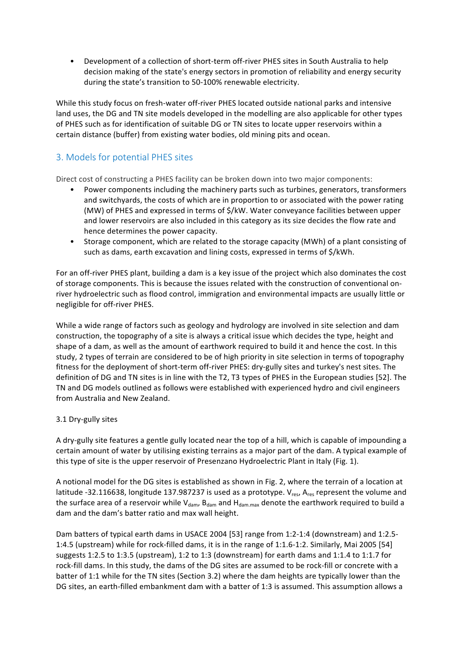• Development of a collection of short-term off-river PHES sites in South Australia to help decision making of the state's energy sectors in promotion of reliability and energy security during the state's transition to 50-100% renewable electricity.

While this study focus on fresh-water off-river PHES located outside national parks and intensive land uses, the DG and TN site models developed in the modelling are also applicable for other types of PHES such as for identification of suitable DG or TN sites to locate upper reservoirs within a certain distance (buffer) from existing water bodies, old mining pits and ocean.

# 3. Models for potential PHES sites

Direct cost of constructing a PHES facility can be broken down into two major components:

- Power components including the machinery parts such as turbines, generators, transformers and switchyards, the costs of which are in proportion to or associated with the power rating (MW) of PHES and expressed in terms of  $\frac{2}{k}$ W. Water conveyance facilities between upper and lower reservoirs are also included in this category as its size decides the flow rate and hence determines the power capacity.
- Storage component, which are related to the storage capacity (MWh) of a plant consisting of such as dams, earth excavation and lining costs, expressed in terms of \$/kWh.

For an off-river PHES plant, building a dam is a key issue of the project which also dominates the cost of storage components. This is because the issues related with the construction of conventional onriver hydroelectric such as flood control, immigration and environmental impacts are usually little or negligible for off-river PHES.

While a wide range of factors such as geology and hydrology are involved in site selection and dam construction, the topography of a site is always a critical issue which decides the type, height and shape of a dam, as well as the amount of earthwork required to build it and hence the cost. In this study, 2 types of terrain are considered to be of high priority in site selection in terms of topography fitness for the deployment of short-term off-river PHES: dry-gully sites and turkey's nest sites. The definition of DG and TN sites is in line with the T2, T3 types of PHES in the European studies [52]. The TN and DG models outlined as follows were established with experienced hydro and civil engineers from Australia and New Zealand.

## 3.1 Dry-gully sites

A dry-gully site features a gentle gully located near the top of a hill, which is capable of impounding a certain amount of water by utilising existing terrains as a major part of the dam. A typical example of this type of site is the upper reservoir of Presenzano Hydroelectric Plant in Italy (Fig. 1).

A notional model for the DG sites is established as shown in Fig. 2, where the terrain of a location at latitude -32.116638, longitude 137.987237 is used as a prototype.  $V_{res}$ , A<sub>res</sub> represent the volume and the surface area of a reservoir while  $V_{\text{dam}}$ ,  $B_{\text{dam}}$  and  $H_{\text{dam,max}}$  denote the earthwork required to build a dam and the dam's batter ratio and max wall height.

Dam batters of typical earth dams in USACE 2004 [53] range from 1:2-1:4 (downstream) and 1:2.5-1:4.5 (upstream) while for rock-filled dams, it is in the range of 1:1.6-1:2. Similarly, Mai 2005 [54] suggests 1:2.5 to 1:3.5 (upstream), 1:2 to 1:3 (downstream) for earth dams and 1:1.4 to 1:1.7 for rock-fill dams. In this study, the dams of the DG sites are assumed to be rock-fill or concrete with a batter of 1:1 while for the TN sites (Section 3.2) where the dam heights are typically lower than the DG sites, an earth-filled embankment dam with a batter of 1:3 is assumed. This assumption allows a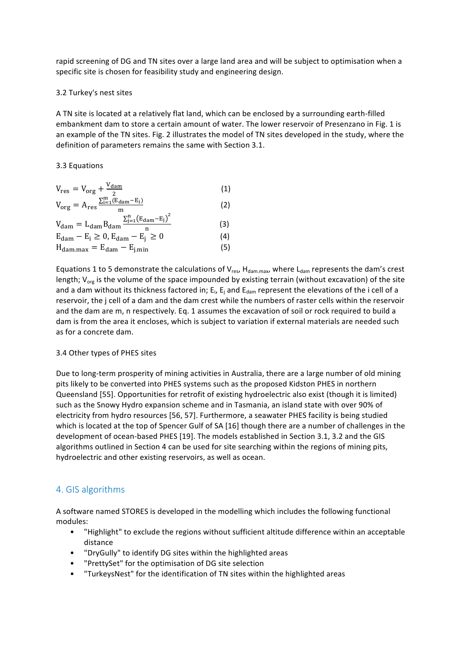rapid screening of DG and TN sites over a large land area and will be subject to optimisation when a specific site is chosen for feasibility study and engineering design.

#### 3.2 Turkey's nest sites

A TN site is located at a relatively flat land, which can be enclosed by a surrounding earth-filled embankment dam to store a certain amount of water. The lower reservoir of Presenzano in Fig. 1 is an example of the TN sites. Fig. 2 illustrates the model of TN sites developed in the study, where the definition of parameters remains the same with Section 3.1.

### 3.3 Equations

$$
V_{res} = V_{org} + \frac{V_{dam}}{2}
$$
 (1)

$$
V_{org} = A_{res} \frac{\sum_{i=1}^{m} (\mathbf{E}_{dam} - \mathbf{E}_i)}{m}
$$
(2)  

$$
V_{dam} = L_{dam} B_{dam} \frac{\sum_{j=1}^{n} (\mathbf{E}_{dam} - \mathbf{E}_j)^2}{n}
$$
(3)

$$
E_{\text{dam}} - E_i \ge 0, E_{\text{dam}} - E_j^{\text{II}} \ge 0
$$
\n
$$
H_{\text{dam,max}} = E_{\text{dam}} - E_{\text{j,min}} \tag{4}
$$

Equations 1 to 5 demonstrate the calculations of  $V_{res}$ ,  $H_{dam,max}$ , where  $L_{dam}$  represents the dam's crest length;  $V_{\text{org}}$  is the volume of the space impounded by existing terrain (without excavation) of the site and a dam without its thickness factored in;  $E_i$ ,  $E_i$  and  $E_{\text{dam}}$  represent the elevations of the i cell of a reservoir, the j cell of a dam and the dam crest while the numbers of raster cells within the reservoir and the dam are m, n respectively. Eq. 1 assumes the excavation of soil or rock required to build a dam is from the area it encloses, which is subject to variation if external materials are needed such as for a concrete dam.

#### 3.4 Other types of PHES sites

Due to long-term prosperity of mining activities in Australia, there are a large number of old mining pits likely to be converted into PHES systems such as the proposed Kidston PHES in northern Queensland [55]. Opportunities for retrofit of existing hydroelectric also exist (though it is limited) such as the Snowy Hydro expansion scheme and in Tasmania, an island state with over 90% of electricity from hydro resources [56, 57]. Furthermore, a seawater PHES facility is being studied which is located at the top of Spencer Gulf of SA [16] though there are a number of challenges in the development of ocean-based PHES [19]. The models established in Section 3.1, 3.2 and the GIS algorithms outlined in Section 4 can be used for site searching within the regions of mining pits, hydroelectric and other existing reservoirs, as well as ocean.

## 4. GIS algorithms

A software named STORES is developed in the modelling which includes the following functional modules:

- "Highlight" to exclude the regions without sufficient altitude difference within an acceptable distance
- "DryGully" to identify DG sites within the highlighted areas
- "PrettySet" for the optimisation of DG site selection
- "TurkeysNest" for the identification of TN sites within the highlighted areas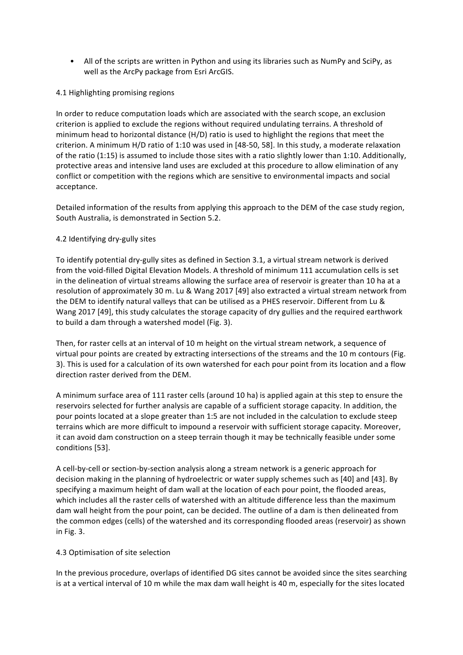• All of the scripts are written in Python and using its libraries such as NumPy and SciPy, as well as the ArcPy package from Esri ArcGIS.

### 4.1 Highlighting promising regions

In order to reduce computation loads which are associated with the search scope, an exclusion criterion is applied to exclude the regions without required undulating terrains. A threshold of minimum head to horizontal distance  $(H/D)$  ratio is used to highlight the regions that meet the criterion. A minimum H/D ratio of 1:10 was used in [48-50, 58]. In this study, a moderate relaxation of the ratio  $(1:15)$  is assumed to include those sites with a ratio slightly lower than 1:10. Additionally, protective areas and intensive land uses are excluded at this procedure to allow elimination of any conflict or competition with the regions which are sensitive to environmental impacts and social acceptance.

Detailed information of the results from applying this approach to the DEM of the case study region, South Australia, is demonstrated in Section 5.2.

## 4.2 Identifying dry-gully sites

To identify potential dry-gully sites as defined in Section 3.1, a virtual stream network is derived from the void-filled Digital Elevation Models. A threshold of minimum 111 accumulation cells is set in the delineation of virtual streams allowing the surface area of reservoir is greater than 10 ha at a resolution of approximately 30 m. Lu & Wang 2017 [49] also extracted a virtual stream network from the DEM to identify natural valleys that can be utilised as a PHES reservoir. Different from Lu & Wang 2017 [49], this study calculates the storage capacity of dry gullies and the required earthwork to build a dam through a watershed model (Fig. 3).

Then, for raster cells at an interval of 10 m height on the virtual stream network, a sequence of virtual pour points are created by extracting intersections of the streams and the 10 m contours (Fig. 3). This is used for a calculation of its own watershed for each pour point from its location and a flow direction raster derived from the DEM.

A minimum surface area of 111 raster cells (around 10 ha) is applied again at this step to ensure the reservoirs selected for further analysis are capable of a sufficient storage capacity. In addition, the pour points located at a slope greater than 1:5 are not included in the calculation to exclude steep terrains which are more difficult to impound a reservoir with sufficient storage capacity. Moreover, it can avoid dam construction on a steep terrain though it may be technically feasible under some conditions [53].

A cell-by-cell or section-by-section analysis along a stream network is a generic approach for decision making in the planning of hydroelectric or water supply schemes such as [40] and [43]. By specifying a maximum height of dam wall at the location of each pour point, the flooded areas, which includes all the raster cells of watershed with an altitude difference less than the maximum dam wall height from the pour point, can be decided. The outline of a dam is then delineated from the common edges (cells) of the watershed and its corresponding flooded areas (reservoir) as shown in Fig. 3.

### 4.3 Optimisation of site selection

In the previous procedure, overlaps of identified DG sites cannot be avoided since the sites searching is at a vertical interval of 10 m while the max dam wall height is 40 m, especially for the sites located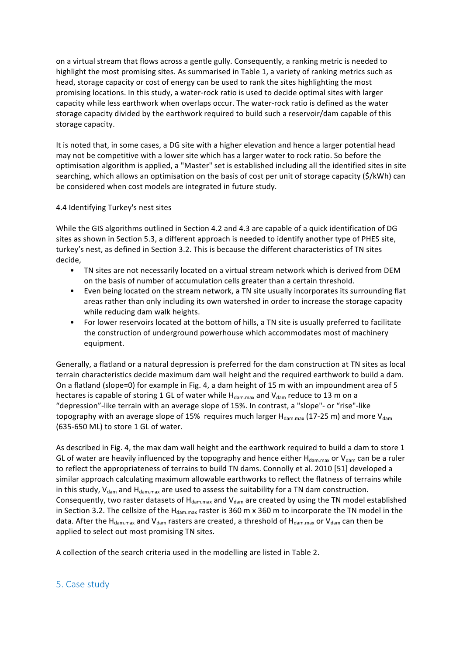on a virtual stream that flows across a gentle gully. Consequently, a ranking metric is needed to highlight the most promising sites. As summarised in Table 1, a variety of ranking metrics such as head, storage capacity or cost of energy can be used to rank the sites highlighting the most promising locations. In this study, a water-rock ratio is used to decide optimal sites with larger capacity while less earthwork when overlaps occur. The water-rock ratio is defined as the water storage capacity divided by the earthwork required to build such a reservoir/dam capable of this storage capacity.

It is noted that, in some cases, a DG site with a higher elevation and hence a larger potential head may not be competitive with a lower site which has a larger water to rock ratio. So before the optimisation algorithm is applied, a "Master" set is established including all the identified sites in site searching, which allows an optimisation on the basis of cost per unit of storage capacity (\$/kWh) can be considered when cost models are integrated in future study.

## 4.4 Identifying Turkey's nest sites

While the GIS algorithms outlined in Section 4.2 and 4.3 are capable of a quick identification of DG sites as shown in Section 5.3, a different approach is needed to identify another type of PHES site, turkey's nest, as defined in Section 3.2. This is because the different characteristics of TN sites decide,

- TN sites are not necessarily located on a virtual stream network which is derived from DEM on the basis of number of accumulation cells greater than a certain threshold.
- Even being located on the stream network, a TN site usually incorporates its surrounding flat areas rather than only including its own watershed in order to increase the storage capacity while reducing dam walk heights.
- For lower reservoirs located at the bottom of hills, a TN site is usually preferred to facilitate the construction of underground powerhouse which accommodates most of machinery equipment.

Generally, a flatland or a natural depression is preferred for the dam construction at TN sites as local terrain characteristics decide maximum dam wall height and the required earthwork to build a dam. On a flatland (slope=0) for example in Fig. 4, a dam height of 15 m with an impoundment area of 5 hectares is capable of storing 1 GL of water while  $H_{\text{dam,max}}$  and  $V_{\text{dam}}$  reduce to 13 m on a "depression"-like terrain with an average slope of 15%. In contrast, a "slope"- or "rise"-like topography with an average slope of 15% requires much larger  $H_{dam,max}$  (17-25 m) and more  $V_{dam}$  $(635-650$  ML) to store 1 GL of water.

As described in Fig. 4, the max dam wall height and the earthwork required to build a dam to store 1 GL of water are heavily influenced by the topography and hence either  $H_{\text{dam,max}}$  or  $V_{\text{dam}}$  can be a ruler to reflect the appropriateness of terrains to build TN dams. Connolly et al. 2010 [51] developed a similar approach calculating maximum allowable earthworks to reflect the flatness of terrains while in this study,  $V_{\text{dam}}$  and  $H_{\text{dam,max}}$  are used to assess the suitability for a TN dam construction. Consequently, two raster datasets of  $H_{\text{dam,max}}$  and  $V_{\text{dam}}$  are created by using the TN model established in Section 3.2. The cellsize of the  $H_{\text{dam,max}}$  raster is 360 m x 360 m to incorporate the TN model in the data. After the H<sub>dam.max</sub> and V<sub>dam</sub> rasters are created, a threshold of H<sub>dam.max</sub> or V<sub>dam</sub> can then be applied to select out most promising TN sites.

A collection of the search criteria used in the modelling are listed in Table 2.

## 5. Case study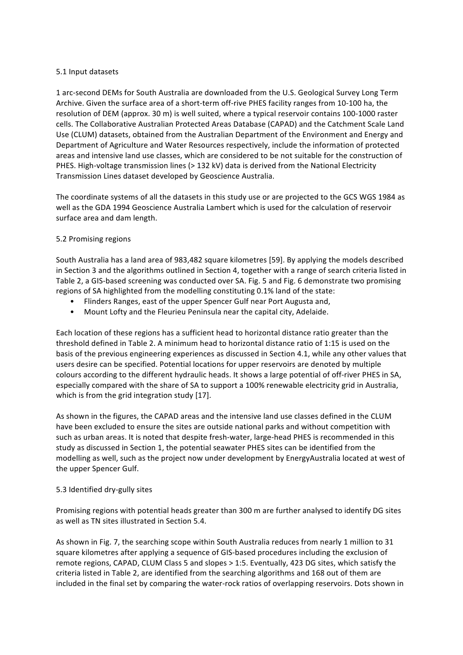#### 5.1 Input datasets

1 arc-second DEMs for South Australia are downloaded from the U.S. Geological Survey Long Term Archive. Given the surface area of a short-term off-rive PHES facility ranges from 10-100 ha, the resolution of DEM (approx. 30 m) is well suited, where a typical reservoir contains 100-1000 raster cells. The Collaborative Australian Protected Areas Database (CAPAD) and the Catchment Scale Land Use (CLUM) datasets, obtained from the Australian Department of the Environment and Energy and Department of Agriculture and Water Resources respectively, include the information of protected areas and intensive land use classes, which are considered to be not suitable for the construction of PHES. High-voltage transmission lines  $(>132 \text{ kV})$  data is derived from the National Electricity Transmission Lines dataset developed by Geoscience Australia.

The coordinate systems of all the datasets in this study use or are projected to the GCS WGS 1984 as well as the GDA 1994 Geoscience Australia Lambert which is used for the calculation of reservoir surface area and dam length.

### 5.2 Promising regions

South Australia has a land area of 983,482 square kilometres [59]. By applying the models described in Section 3 and the algorithms outlined in Section 4, together with a range of search criteria listed in Table 2, a GIS-based screening was conducted over SA. Fig. 5 and Fig. 6 demonstrate two promising regions of SA highlighted from the modelling constituting 0.1% land of the state:

- Flinders Ranges, east of the upper Spencer Gulf near Port Augusta and,
- Mount Lofty and the Fleurieu Peninsula near the capital city, Adelaide.

Each location of these regions has a sufficient head to horizontal distance ratio greater than the threshold defined in Table 2. A minimum head to horizontal distance ratio of 1:15 is used on the basis of the previous engineering experiences as discussed in Section 4.1, while any other values that users desire can be specified. Potential locations for upper reservoirs are denoted by multiple colours according to the different hydraulic heads. It shows a large potential of off-river PHES in SA, especially compared with the share of SA to support a 100% renewable electricity grid in Australia, which is from the grid integration study [17].

As shown in the figures, the CAPAD areas and the intensive land use classes defined in the CLUM have been excluded to ensure the sites are outside national parks and without competition with such as urban areas. It is noted that despite fresh-water, large-head PHES is recommended in this study as discussed in Section 1, the potential seawater PHES sites can be identified from the modelling as well, such as the project now under development by EnergyAustralia located at west of the upper Spencer Gulf.

### 5.3 Identified dry-gully sites

Promising regions with potential heads greater than 300 m are further analysed to identify DG sites as well as TN sites illustrated in Section 5.4.

As shown in Fig. 7, the searching scope within South Australia reduces from nearly 1 million to 31 square kilometres after applying a sequence of GIS-based procedures including the exclusion of remote regions, CAPAD, CLUM Class 5 and slopes > 1:5. Eventually, 423 DG sites, which satisfy the criteria listed in Table 2, are identified from the searching algorithms and 168 out of them are included in the final set by comparing the water-rock ratios of overlapping reservoirs. Dots shown in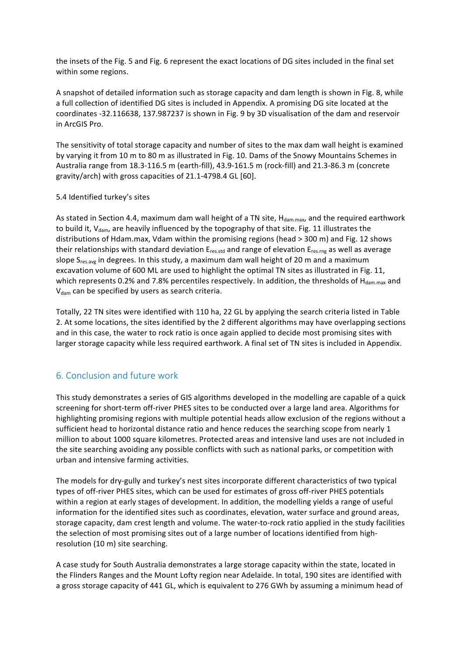the insets of the Fig. 5 and Fig. 6 represent the exact locations of DG sites included in the final set within some regions.

A snapshot of detailed information such as storage capacity and dam length is shown in Fig. 8, while a full collection of identified DG sites is included in Appendix. A promising DG site located at the coordinates -32.116638, 137.987237 is shown in Fig. 9 by 3D visualisation of the dam and reservoir in ArcGIS Pro.

The sensitivity of total storage capacity and number of sites to the max dam wall height is examined by varying it from 10 m to 80 m as illustrated in Fig. 10. Dams of the Snowy Mountains Schemes in Australia range from 18.3-116.5 m (earth-fill), 43.9-161.5 m (rock-fill) and 21.3-86.3 m (concrete gravity/arch) with gross capacities of  $21.1$ -4798.4 GL [60].

#### 5.4 Identified turkey's sites

As stated in Section 4.4, maximum dam wall height of a TN site,  $H_{\text{dam max}}$ , and the required earthwork to build it,  $V_{\text{dam}}$ , are heavily influenced by the topography of that site. Fig. 11 illustrates the distributions of Hdam.max, Vdam within the promising regions (head > 300 m) and Fig. 12 shows their relationships with standard deviation  $E_{res, std}$  and range of elevation  $E_{res, rng}$  as well as average slope  $S_{res, avg}$  in degrees. In this study, a maximum dam wall height of 20 m and a maximum excavation volume of 600 ML are used to highlight the optimal TN sites as illustrated in Fig. 11, which represents 0.2% and 7.8% percentiles respectively. In addition, the thresholds of  $H_{\text{dam,max}}$  and  $V_{\text{dam}}$  can be specified by users as search criteria.

Totally, 22 TN sites were identified with 110 ha, 22 GL by applying the search criteria listed in Table 2. At some locations, the sites identified by the 2 different algorithms may have overlapping sections and in this case, the water to rock ratio is once again applied to decide most promising sites with larger storage capacity while less required earthwork. A final set of TN sites is included in Appendix.

## 6. Conclusion and future work

This study demonstrates a series of GIS algorithms developed in the modelling are capable of a quick screening for short-term off-river PHES sites to be conducted over a large land area. Algorithms for highlighting promising regions with multiple potential heads allow exclusion of the regions without a sufficient head to horizontal distance ratio and hence reduces the searching scope from nearly 1 million to about 1000 square kilometres. Protected areas and intensive land uses are not included in the site searching avoiding any possible conflicts with such as national parks, or competition with urban and intensive farming activities.

The models for dry-gully and turkey's nest sites incorporate different characteristics of two typical types of off-river PHES sites, which can be used for estimates of gross off-river PHES potentials within a region at early stages of development. In addition, the modelling yields a range of useful information for the identified sites such as coordinates, elevation, water surface and ground areas, storage capacity, dam crest length and volume. The water-to-rock ratio applied in the study facilities the selection of most promising sites out of a large number of locations identified from highresolution (10 m) site searching.

A case study for South Australia demonstrates a large storage capacity within the state, located in the Flinders Ranges and the Mount Lofty region near Adelaide. In total, 190 sites are identified with a gross storage capacity of 441 GL, which is equivalent to 276 GWh by assuming a minimum head of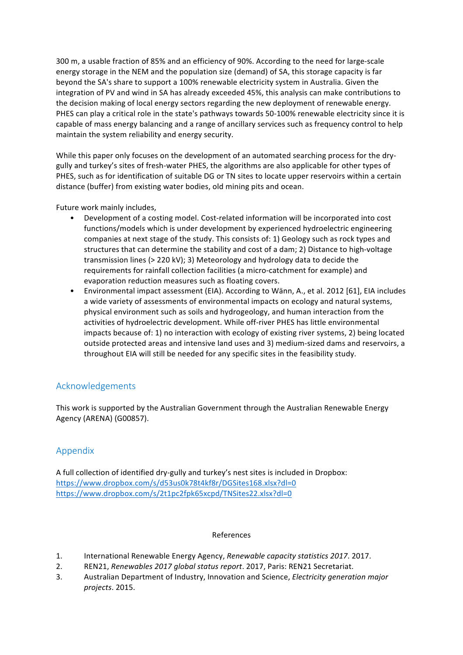300 m, a usable fraction of 85% and an efficiency of 90%. According to the need for large-scale energy storage in the NEM and the population size (demand) of SA, this storage capacity is far beyond the SA's share to support a 100% renewable electricity system in Australia. Given the integration of PV and wind in SA has already exceeded 45%, this analysis can make contributions to the decision making of local energy sectors regarding the new deployment of renewable energy. PHES can play a critical role in the state's pathways towards 50-100% renewable electricity since it is capable of mass energy balancing and a range of ancillary services such as frequency control to help maintain the system reliability and energy security.

While this paper only focuses on the development of an automated searching process for the drygully and turkey's sites of fresh-water PHES, the algorithms are also applicable for other types of PHES, such as for identification of suitable DG or TN sites to locate upper reservoirs within a certain distance (buffer) from existing water bodies, old mining pits and ocean.

Future work mainly includes,

- Development of a costing model. Cost-related information will be incorporated into cost functions/models which is under development by experienced hydroelectric engineering companies at next stage of the study. This consists of: 1) Geology such as rock types and structures that can determine the stability and cost of a dam; 2) Distance to high-voltage transmission lines  $(> 220 \text{ kV})$ ; 3) Meteorology and hydrology data to decide the requirements for rainfall collection facilities (a micro-catchment for example) and evaporation reduction measures such as floating covers.
- Environmental impact assessment (EIA). According to Wänn, A., et al. 2012 [61], EIA includes a wide variety of assessments of environmental impacts on ecology and natural systems, physical environment such as soils and hydrogeology, and human interaction from the activities of hydroelectric development. While off-river PHES has little environmental impacts because of: 1) no interaction with ecology of existing river systems, 2) being located outside protected areas and intensive land uses and 3) medium-sized dams and reservoirs, a throughout EIA will still be needed for any specific sites in the feasibility study.

## Acknowledgements

This work is supported by the Australian Government through the Australian Renewable Energy Agency (ARENA) (G00857).

## Appendix

A full collection of identified dry-gully and turkey's nest sites is included in Dropbox: https://www.dropbox.com/s/d53us0k78t4kf8r/DGSites168.xlsx?dl=0 https://www.dropbox.com/s/2t1pc2fpk65xcpd/TNSites22.xlsx?dl=0

### References

- 1. International Renewable Energy Agency, *Renewable capacity statistics 2017*. 2017.
- 2. REN21, *Renewables 2017 global status report*. 2017, Paris: REN21 Secretariat.
- 3. Australian Department of Industry, Innovation and Science, *Electricity generation major projects*. 2015.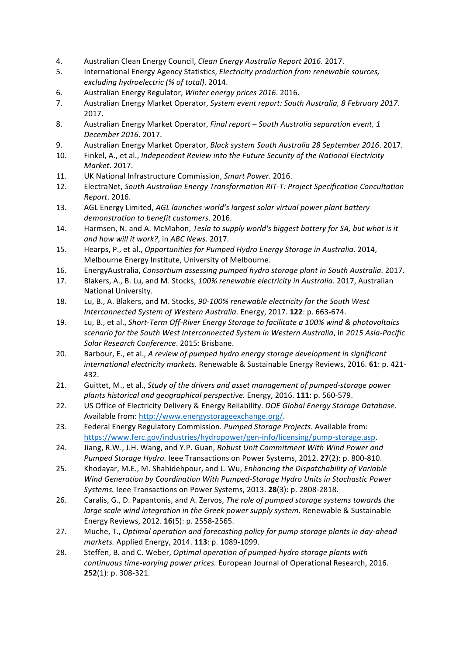- 4. Australian Clean Energy Council, *Clean Energy Australia Report 2016*. 2017.
- 5. International Energy Agency Statistics, *Electricity production from renewable sources, excluding hydroelectric (% of total)*. 2014.
- 6. Australian Energy Regulator, *Winter energy prices 2016*. 2016.
- 7. Australian Energy Market Operator, System event report: South Australia, 8 February 2017. 2017.
- 8. Australian Energy Market Operator, *Final report* South Australia separation event, 1 *December 2016*. 2017.
- 9. Australian Energy Market Operator, *Black system South Australia* 28 September 2016. 2017.
- 10. Finkel, A., et al., *Independent Review into the Future Security of the National Electricity Market*. 2017.
- 11. UK National Infrastructure Commission, Smart Power. 2016.
- 12. ElectraNet, *South Australian Energy Transformation RIT-T: Project Specification Concultation Report*. 2016.
- 13. AGL Energy Limited, *AGL launches world's largest solar virtual power plant battery demonstration to benefit customers*. 2016.
- 14. Harmsen, N. and A. McMahon, *Tesla to supply world's biggest battery for SA, but what is it and how will it work?*, in *ABC News*. 2017.
- 15. Hearps, P., et al., *Opportunities for Pumped Hydro Energy Storage in Australia*. 2014, Melbourne Energy Institute, University of Melbourne.
- 16. EnergyAustralia, *Consortium assessing pumped hydro storage plant in South Australia*. 2017.
- 17. Blakers, A., B. Lu, and M. Stocks, 100% renewable electricity in Australia. 2017, Australian National University.
- 18. Lu, B., A. Blakers, and M. Stocks, 90-100% renewable electricity for the South West *Interconnected System of Western Australia.* Energy, 2017. **122**: p. 663-674.
- 19. Lu, B., et al., *Short-Term Off-River Energy Storage to facilitate a 100% wind & photovoltaics* scenario for the South West Interconnected System in Western Australia, in 2015 Asia-Pacific Solar Research Conference. 2015: Brisbane.
- 20. Barbour, E., et al., *A review of pumped hydro energy storage development in significant international electricity markets.* Renewable & Sustainable Energy Reviews, 2016. 61: p. 421-432.
- 21. Guittet, M., et al., *Study of the drivers and asset management of pumped-storage power plants historical and geographical perspective.* Energy, 2016. **111**: p. 560-579.
- 22. US Office of Electricity Delivery & Energy Reliability. *DOE Global Energy Storage Database*. Available from: http://www.energystorageexchange.org/.
- 23. Federal Energy Regulatory Commission. *Pumped Storage Projects*. Available from: https://www.ferc.gov/industries/hydropower/gen-info/licensing/pump-storage.asp.
- 24. Jiang, R.W., J.H. Wang, and Y.P. Guan, *Robust Unit Commitment With Wind Power and Pumped Storage Hydro.* Ieee Transactions on Power Systems, 2012, 27(2): p. 800-810.
- 25. Khodayar, M.E., M. Shahidehpour, and L. Wu, *Enhancing the Dispatchability of Variable Wind Generation by Coordination With Pumped-Storage Hydro Units in Stochastic Power* Systems. leee Transactions on Power Systems, 2013. **28**(3): p. 2808-2818.
- 26. Caralis, G., D. Papantonis, and A. Zervos, *The role of pumped storage systems towards the large scale wind integration in the Greek power supply system.* Renewable & Sustainable Energy Reviews, 2012. **16**(5): p. 2558-2565.
- 27. Muche, T., *Optimal operation and forecasting policy for pump storage plants in day-ahead markets.* Applied Energy, 2014. **113**: p. 1089-1099.
- 28. Steffen, B. and C. Weber, *Optimal operation of pumped-hydro storage plants with continuous time-varying power prices.* European Journal of Operational Research, 2016. **252**(1): p. 308-321.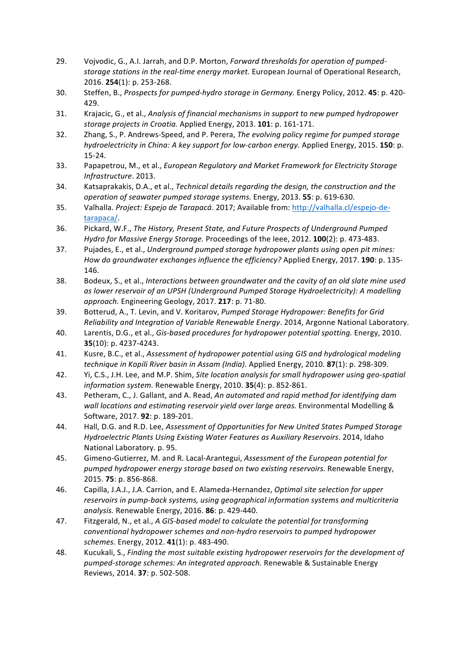- 29. Vojvodic, G., A.I. Jarrah, and D.P. Morton, *Forward thresholds for operation of pumped*storage stations in the real-time energy market. European Journal of Operational Research, 2016. **254**(1): p. 253-268.
- 30. Steffen, B., Prospects for pumped-hydro storage in Germany. Energy Policy, 2012. **45**: p. 420-429.
- 31. Krajacic, G., et al., *Analysis of financial mechanisms in support to new pumped hydropower storage projects in Croatia.* Applied Energy, 2013. **101**: p. 161-171.
- 32. Zhang, S., P. Andrews-Speed, and P. Perera, *The evolving policy regime for pumped storage hydroelectricity in China: A key support for low-carbon energy. Applied Energy, 2015.* 150: p. 15-24.
- 33. Papapetrou, M., et al., *European Regulatory and Market Framework for Electricity Storage Infrastructure*. 2013.
- 34. Katsaprakakis, D.A., et al., *Technical details regarding the design, the construction and the operation of seawater pumped storage systems.* Energy, 2013. **55**: p. 619-630.
- 35. Valhalla. *Project: Espejo de Tarapacá*. 2017; Available from: http://valhalla.cl/espejo-detarapaca/.
- 36. Pickard, W.F., *The History, Present State, and Future Prospects of Underground Pumped Hydro for Massive Energy Storage.* Proceedings of the leee, 2012. **100**(2): p. 473-483.
- 37. Pujades, E., et al., *Underground pumped storage hydropower plants using open pit mines: How do groundwater exchanges influence the efficiency?* Applied Energy, 2017. **190**: p. 135-146.
- 38. Bodeux, S., et al., *Interactions between groundwater and the cavity of an old slate mine used* as lower reservoir of an UPSH (Underground Pumped Storage Hydroelectricity): A modelling *approach.* Engineering Geology, 2017. **217**: p. 71-80.
- 39. Botterud, A., T. Levin, and V. Koritarov, *Pumped Storage Hydropower: Benefits for Grid Reliability* and *Integration of Variable Renewable Energy*. 2014, Argonne National Laboratory.
- 40. Larentis, D.G., et al., *Gis-based procedures for hydropower potential spotting*. Energy, 2010. **35**(10): p. 4237-4243.
- 41. Kusre, B.C., et al., *Assessment of hydropower potential using GIS and hydrological modeling technique in Kopili River basin in Assam (India).* Applied Energy, 2010. **87**(1): p. 298-309.
- 42. Yi, C.S., J.H. Lee, and M.P. Shim, *Site location analysis for small hydropower using geo-spatial information system.* Renewable Energy, 2010. **35**(4): p. 852-861.
- 43. Petheram, C., J. Gallant, and A. Read, An automated and rapid method for identifying dam wall locations and estimating reservoir yield over large areas. Environmental Modelling & Software, 2017. **92**: p. 189-201.
- 44. Hall, D.G. and R.D. Lee, *Assessment of Opportunities for New United States Pumped Storage Hydroelectric Plants Using Existing Water Features as Auxiliary Reservoirs*. 2014, Idaho National Laboratory. p. 95.
- 45. Gimeno-Gutierrez, M. and R. Lacal-Arantegui, *Assessment of the European potential for pumped hydropower energy storage based on two existing reservoirs.* Renewable Energy, 2015. **75**: p. 856-868.
- 46. Capilla, J.A.J., J.A. Carrion, and E. Alameda-Hernandez, *Optimal site selection for upper* reservoirs in pump-back systems, using geographical information systems and multicriteria *analysis.* Renewable Energy, 2016. **86**: p. 429-440.
- 47. Fitzgerald, N., et al., *A GIS-based model to calculate the potential for transforming conventional hydropower schemes and non-hydro reservoirs to pumped hydropower schemes.* Energy, 2012. **41**(1): p. 483-490.
- 48. Kucukali, S., *Finding the most suitable existing hydropower reservoirs for the development of* pumped-storage schemes: An integrated approach. Renewable & Sustainable Energy Reviews, 2014. **37**: p. 502-508.